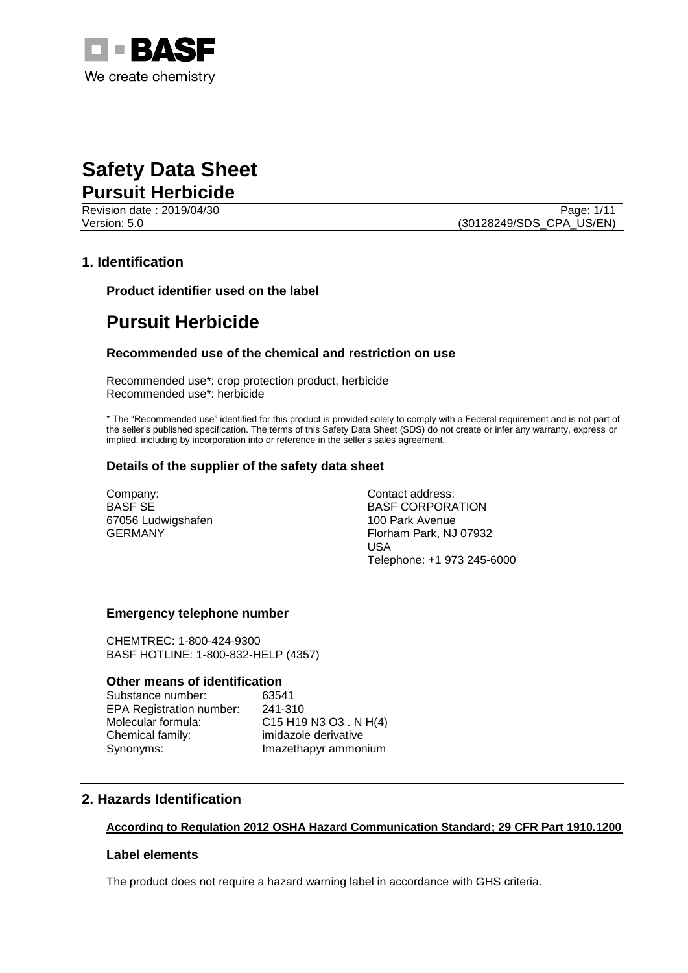

Revision date : 2019/04/30 Page: 1/11

Version: 5.0 (30128249/SDS\_CPA\_US/EN)

### **1. Identification**

**Product identifier used on the label**

# **Pursuit Herbicide**

#### **Recommended use of the chemical and restriction on use**

Recommended use\*: crop protection product, herbicide Recommended use\*: herbicide

\* The "Recommended use" identified for this product is provided solely to comply with a Federal requirement and is not part of the seller's published specification. The terms of this Safety Data Sheet (SDS) do not create or infer any warranty, express or implied, including by incorporation into or reference in the seller's sales agreement.

#### **Details of the supplier of the safety data sheet**

Company: BASF SE 67056 Ludwigshafen GERMANY

Contact address: BASF CORPORATION 100 Park Avenue Florham Park, NJ 07932 USA Telephone: +1 973 245-6000

#### **Emergency telephone number**

CHEMTREC: 1-800-424-9300 BASF HOTLINE: 1-800-832-HELP (4357)

#### **Other means of identification**

Substance number: 63541 EPA Registration number: 241-310 Molecular formula: C15 H19 N3 O3 . N H(4) Chemical family: imidazole derivative Synonyms: Imazethapyr ammonium

## **2. Hazards Identification**

#### **According to Regulation 2012 OSHA Hazard Communication Standard; 29 CFR Part 1910.1200**

#### **Label elements**

The product does not require a hazard warning label in accordance with GHS criteria.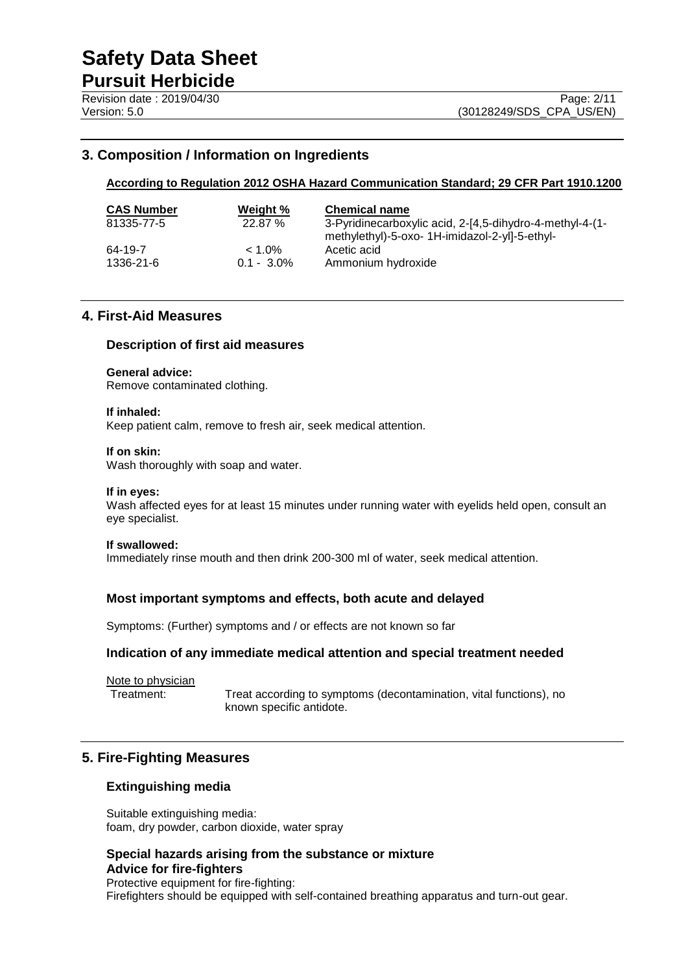## **3. Composition / Information on Ingredients**

#### **According to Regulation 2012 OSHA Hazard Communication Standard; 29 CFR Part 1910.1200**

| <b>CAS Number</b> | Weight %      | <b>Chemical name</b>                                     |
|-------------------|---------------|----------------------------------------------------------|
| 81335-77-5        | 22.87%        | 3-Pyridinecarboxylic acid, 2-[4,5-dihydro-4-methyl-4-(1- |
|                   |               | methylethyl)-5-oxo- 1H-imidazol-2-yl]-5-ethyl-           |
| 64-19-7           | $< 1.0\%$     | Acetic acid                                              |
| 1336-21-6         | $0.1 - 3.0\%$ | Ammonium hydroxide                                       |

#### **4. First-Aid Measures**

#### **Description of first aid measures**

#### **General advice:**

Remove contaminated clothing.

#### **If inhaled:**

Keep patient calm, remove to fresh air, seek medical attention.

#### **If on skin:**

Wash thoroughly with soap and water.

#### **If in eyes:**

Wash affected eyes for at least 15 minutes under running water with eyelids held open, consult an eye specialist.

#### **If swallowed:**

Immediately rinse mouth and then drink 200-300 ml of water, seek medical attention.

#### **Most important symptoms and effects, both acute and delayed**

Symptoms: (Further) symptoms and / or effects are not known so far

#### **Indication of any immediate medical attention and special treatment needed**

Note to physician

Treatment: Treat according to symptoms (decontamination, vital functions), no known specific antidote.

#### **5. Fire-Fighting Measures**

#### **Extinguishing media**

Suitable extinguishing media: foam, dry powder, carbon dioxide, water spray

## **Special hazards arising from the substance or mixture Advice for fire-fighters**

Protective equipment for fire-fighting: Firefighters should be equipped with self-contained breathing apparatus and turn-out gear.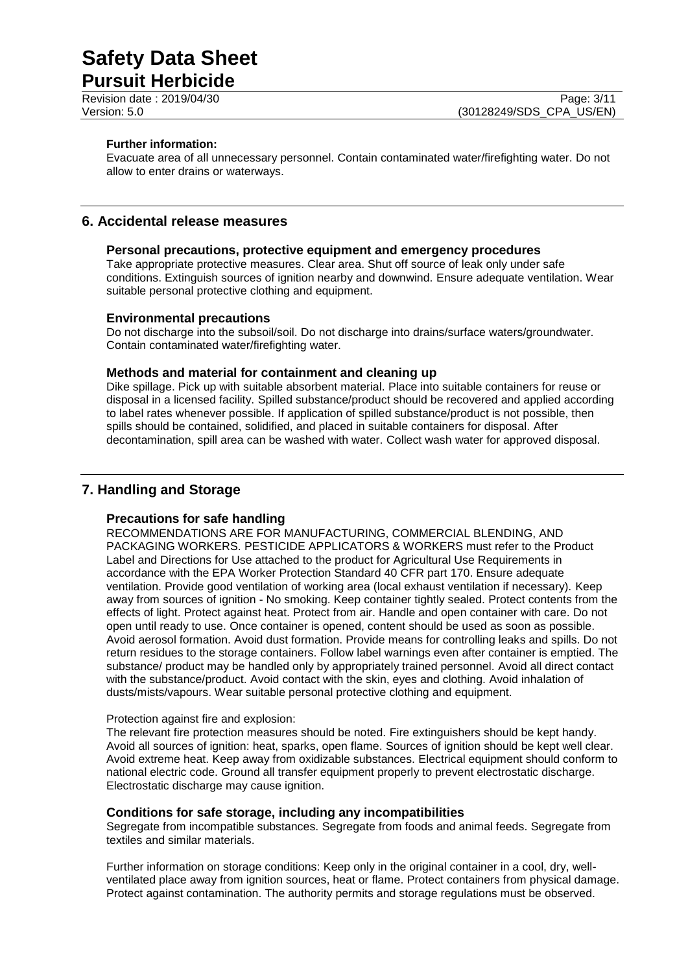# **Pursuit Herbicide**

#### **Further information:**

Evacuate area of all unnecessary personnel. Contain contaminated water/firefighting water. Do not allow to enter drains or waterways.

## **6. Accidental release measures**

#### **Personal precautions, protective equipment and emergency procedures**

Take appropriate protective measures. Clear area. Shut off source of leak only under safe conditions. Extinguish sources of ignition nearby and downwind. Ensure adequate ventilation. Wear suitable personal protective clothing and equipment.

#### **Environmental precautions**

Do not discharge into the subsoil/soil. Do not discharge into drains/surface waters/groundwater. Contain contaminated water/firefighting water.

### **Methods and material for containment and cleaning up**

Dike spillage. Pick up with suitable absorbent material. Place into suitable containers for reuse or disposal in a licensed facility. Spilled substance/product should be recovered and applied according to label rates whenever possible. If application of spilled substance/product is not possible, then spills should be contained, solidified, and placed in suitable containers for disposal. After decontamination, spill area can be washed with water. Collect wash water for approved disposal.

# **7. Handling and Storage**

## **Precautions for safe handling**

RECOMMENDATIONS ARE FOR MANUFACTURING, COMMERCIAL BLENDING, AND PACKAGING WORKERS. PESTICIDE APPLICATORS & WORKERS must refer to the Product Label and Directions for Use attached to the product for Agricultural Use Requirements in accordance with the EPA Worker Protection Standard 40 CFR part 170. Ensure adequate ventilation. Provide good ventilation of working area (local exhaust ventilation if necessary). Keep away from sources of ignition - No smoking. Keep container tightly sealed. Protect contents from the effects of light. Protect against heat. Protect from air. Handle and open container with care. Do not open until ready to use. Once container is opened, content should be used as soon as possible. Avoid aerosol formation. Avoid dust formation. Provide means for controlling leaks and spills. Do not return residues to the storage containers. Follow label warnings even after container is emptied. The substance/ product may be handled only by appropriately trained personnel. Avoid all direct contact with the substance/product. Avoid contact with the skin, eyes and clothing. Avoid inhalation of dusts/mists/vapours. Wear suitable personal protective clothing and equipment.

#### Protection against fire and explosion:

The relevant fire protection measures should be noted. Fire extinguishers should be kept handy. Avoid all sources of ignition: heat, sparks, open flame. Sources of ignition should be kept well clear. Avoid extreme heat. Keep away from oxidizable substances. Electrical equipment should conform to national electric code. Ground all transfer equipment properly to prevent electrostatic discharge. Electrostatic discharge may cause ignition.

#### **Conditions for safe storage, including any incompatibilities**

Segregate from incompatible substances. Segregate from foods and animal feeds. Segregate from textiles and similar materials.

Further information on storage conditions: Keep only in the original container in a cool, dry, wellventilated place away from ignition sources, heat or flame. Protect containers from physical damage. Protect against contamination. The authority permits and storage regulations must be observed.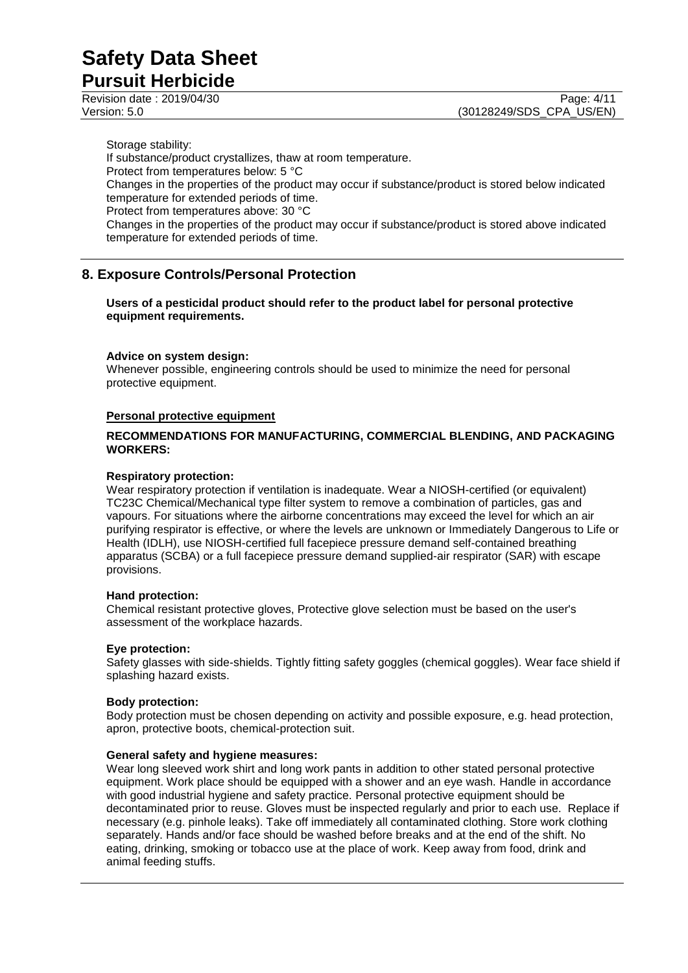**Pursuit Herbicide**

Storage stability: If substance/product crystallizes, thaw at room temperature. Protect from temperatures below: 5 °C Changes in the properties of the product may occur if substance/product is stored below indicated temperature for extended periods of time. Protect from temperatures above: 30 °C Changes in the properties of the product may occur if substance/product is stored above indicated temperature for extended periods of time.

# **8. Exposure Controls/Personal Protection**

**Users of a pesticidal product should refer to the product label for personal protective equipment requirements.**

#### **Advice on system design:**

Whenever possible, engineering controls should be used to minimize the need for personal protective equipment.

#### **Personal protective equipment**

#### **RECOMMENDATIONS FOR MANUFACTURING, COMMERCIAL BLENDING, AND PACKAGING WORKERS:**

#### **Respiratory protection:**

Wear respiratory protection if ventilation is inadequate. Wear a NIOSH-certified (or equivalent) TC23C Chemical/Mechanical type filter system to remove a combination of particles, gas and vapours. For situations where the airborne concentrations may exceed the level for which an air purifying respirator is effective, or where the levels are unknown or Immediately Dangerous to Life or Health (IDLH), use NIOSH-certified full facepiece pressure demand self-contained breathing apparatus (SCBA) or a full facepiece pressure demand supplied-air respirator (SAR) with escape provisions.

#### **Hand protection:**

Chemical resistant protective gloves, Protective glove selection must be based on the user's assessment of the workplace hazards.

#### **Eye protection:**

Safety glasses with side-shields. Tightly fitting safety goggles (chemical goggles). Wear face shield if splashing hazard exists.

#### **Body protection:**

Body protection must be chosen depending on activity and possible exposure, e.g. head protection, apron, protective boots, chemical-protection suit.

#### **General safety and hygiene measures:**

Wear long sleeved work shirt and long work pants in addition to other stated personal protective equipment. Work place should be equipped with a shower and an eye wash. Handle in accordance with good industrial hygiene and safety practice. Personal protective equipment should be decontaminated prior to reuse. Gloves must be inspected regularly and prior to each use. Replace if necessary (e.g. pinhole leaks). Take off immediately all contaminated clothing. Store work clothing separately. Hands and/or face should be washed before breaks and at the end of the shift. No eating, drinking, smoking or tobacco use at the place of work. Keep away from food, drink and animal feeding stuffs.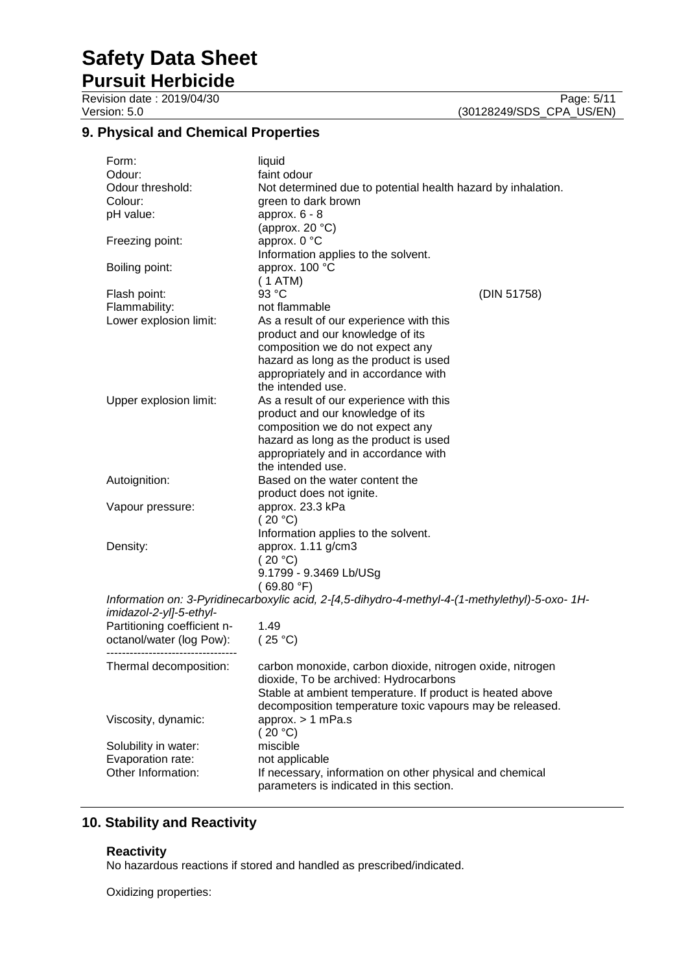**Pursuit Herbicide** Revision date : 2019/04/30 Page: 5/11<br>
Version: 5.0 (30128249/SDS\_CPA\_US/EN)

(30128249/SDS\_CPA\_US/EN)

# **9. Physical and Chemical Properties**

| Form:                       | liquid                                                                                          |  |  |
|-----------------------------|-------------------------------------------------------------------------------------------------|--|--|
| Odour:                      | faint odour                                                                                     |  |  |
| Odour threshold:            | Not determined due to potential health hazard by inhalation.                                    |  |  |
| Colour:                     | green to dark brown                                                                             |  |  |
| pH value:                   | approx. $6 - 8$                                                                                 |  |  |
|                             | (approx. $20 °C$ )                                                                              |  |  |
| Freezing point:             | approx. 0 °C                                                                                    |  |  |
|                             | Information applies to the solvent.                                                             |  |  |
| Boiling point:              | approx. 100 °C                                                                                  |  |  |
|                             | (1 ATM)                                                                                         |  |  |
| Flash point:                | 93 °C<br>(DIN 51758)                                                                            |  |  |
| Flammability:               | not flammable                                                                                   |  |  |
| Lower explosion limit:      | As a result of our experience with this                                                         |  |  |
|                             | product and our knowledge of its                                                                |  |  |
|                             | composition we do not expect any                                                                |  |  |
|                             | hazard as long as the product is used                                                           |  |  |
|                             | appropriately and in accordance with                                                            |  |  |
|                             | the intended use.                                                                               |  |  |
| Upper explosion limit:      | As a result of our experience with this                                                         |  |  |
|                             | product and our knowledge of its                                                                |  |  |
|                             | composition we do not expect any                                                                |  |  |
|                             | hazard as long as the product is used                                                           |  |  |
|                             | appropriately and in accordance with                                                            |  |  |
|                             | the intended use.                                                                               |  |  |
| Autoignition:               | Based on the water content the                                                                  |  |  |
|                             | product does not ignite.                                                                        |  |  |
| Vapour pressure:            | approx. 23.3 kPa                                                                                |  |  |
| (20 °C)                     |                                                                                                 |  |  |
|                             | Information applies to the solvent.                                                             |  |  |
| Density:                    | approx. 1.11 g/cm3                                                                              |  |  |
|                             | (20 °C)                                                                                         |  |  |
|                             | 9.1799 - 9.3469 Lb/USg                                                                          |  |  |
|                             | (69.80 °F)                                                                                      |  |  |
|                             | Information on: 3-Pyridinecarboxylic acid, 2-[4,5-dihydro-4-methyl-4-(1-methylethyl)-5-oxo- 1H- |  |  |
| imidazol-2-yl]-5-ethyl-     |                                                                                                 |  |  |
| Partitioning coefficient n- | 1.49                                                                                            |  |  |
| octanol/water (log Pow):    | (25 °C)                                                                                         |  |  |
|                             |                                                                                                 |  |  |
| Thermal decomposition:      | carbon monoxide, carbon dioxide, nitrogen oxide, nitrogen                                       |  |  |
|                             | dioxide, To be archived: Hydrocarbons                                                           |  |  |
|                             | Stable at ambient temperature. If product is heated above                                       |  |  |
|                             | decomposition temperature toxic vapours may be released.                                        |  |  |
| Viscosity, dynamic:         | approx. $> 1$ mPa.s                                                                             |  |  |
|                             | (20 °C)                                                                                         |  |  |
| Solubility in water:        | miscible                                                                                        |  |  |
| Evaporation rate:           | not applicable                                                                                  |  |  |
| Other Information:          | If necessary, information on other physical and chemical                                        |  |  |
|                             | parameters is indicated in this section.                                                        |  |  |

# **10. Stability and Reactivity**

#### **Reactivity**

No hazardous reactions if stored and handled as prescribed/indicated.

Oxidizing properties: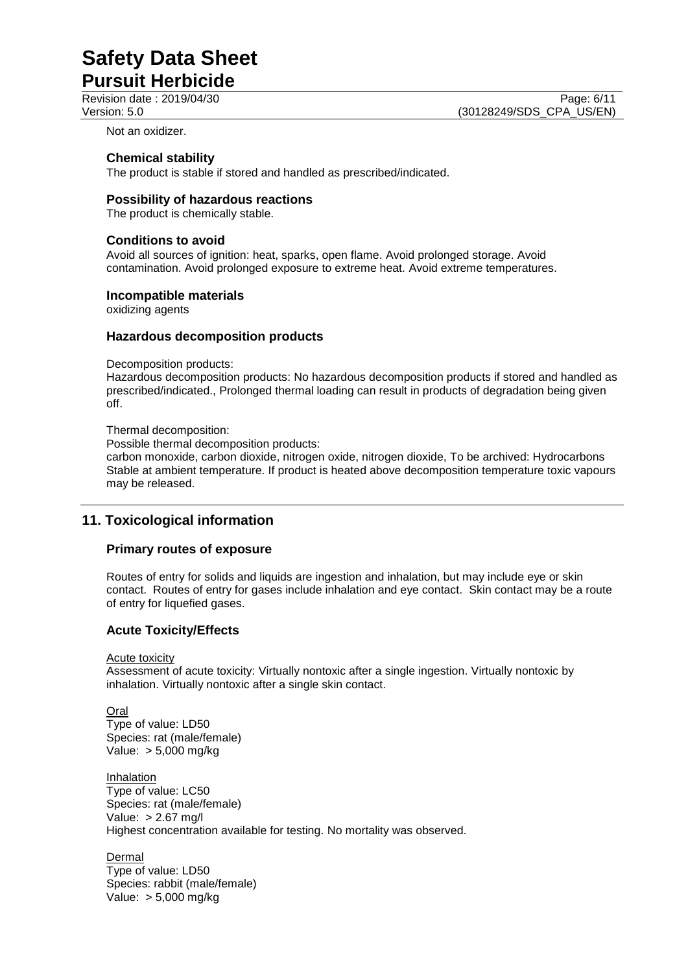**Pursuit Herbicide**

Revision date : 2019/04/30 Page: 6/11<br>Version: 5.0 (30128249/SDS CPA US/EN) (30128249/SDS\_CPA\_US/EN)

Not an oxidizer.

#### **Chemical stability**

The product is stable if stored and handled as prescribed/indicated.

#### **Possibility of hazardous reactions**

The product is chemically stable.

#### **Conditions to avoid**

Avoid all sources of ignition: heat, sparks, open flame. Avoid prolonged storage. Avoid contamination. Avoid prolonged exposure to extreme heat. Avoid extreme temperatures.

#### **Incompatible materials**

oxidizing agents

#### **Hazardous decomposition products**

Decomposition products:

Hazardous decomposition products: No hazardous decomposition products if stored and handled as prescribed/indicated., Prolonged thermal loading can result in products of degradation being given off.

#### Thermal decomposition:

Possible thermal decomposition products:

carbon monoxide, carbon dioxide, nitrogen oxide, nitrogen dioxide, To be archived: Hydrocarbons Stable at ambient temperature. If product is heated above decomposition temperature toxic vapours may be released.

# **11. Toxicological information**

#### **Primary routes of exposure**

Routes of entry for solids and liquids are ingestion and inhalation, but may include eye or skin contact. Routes of entry for gases include inhalation and eye contact. Skin contact may be a route of entry for liquefied gases.

#### **Acute Toxicity/Effects**

Acute toxicity

Assessment of acute toxicity: Virtually nontoxic after a single ingestion. Virtually nontoxic by inhalation. Virtually nontoxic after a single skin contact.

Oral Type of value: LD50 Species: rat (male/female) Value: > 5,000 mg/kg

**Inhalation** Type of value: LC50 Species: rat (male/female) Value: > 2.67 mg/l Highest concentration available for testing. No mortality was observed.

**Dermal** Type of value: LD50 Species: rabbit (male/female) Value: > 5,000 mg/kg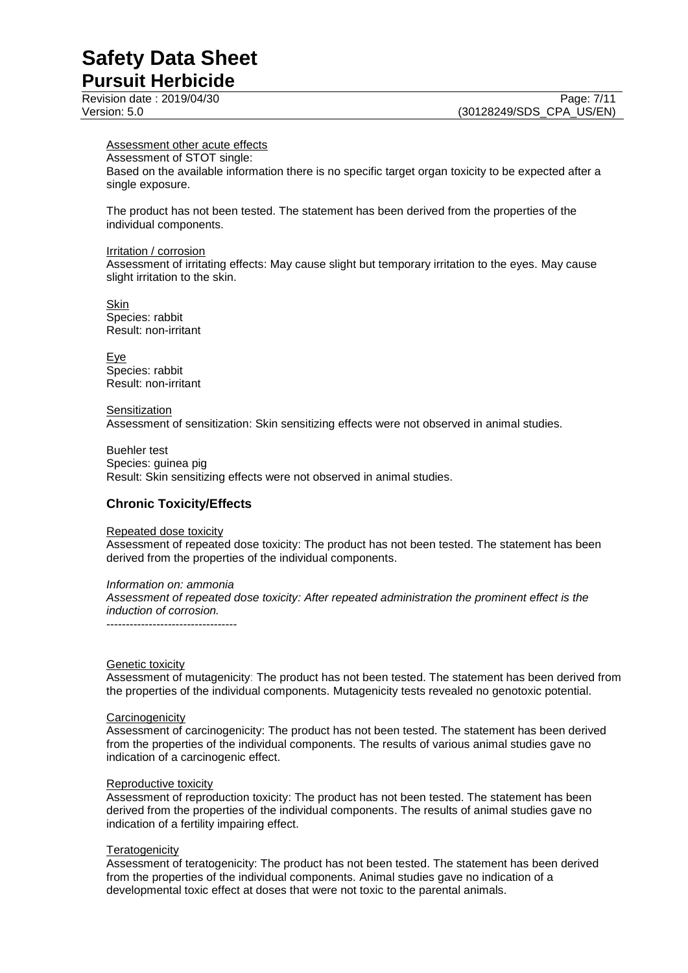## Assessment other acute effects

Assessment of STOT single: Based on the available information there is no specific target organ toxicity to be expected after a single exposure.

The product has not been tested. The statement has been derived from the properties of the individual components.

#### Irritation / corrosion

Assessment of irritating effects: May cause slight but temporary irritation to the eyes. May cause slight irritation to the skin.

Skin Species: rabbit Result: non-irritant

Eye Species: rabbit Result: non-irritant

#### **Sensitization**

Assessment of sensitization: Skin sensitizing effects were not observed in animal studies.

Buehler test Species: guinea pig Result: Skin sensitizing effects were not observed in animal studies.

#### **Chronic Toxicity/Effects**

#### Repeated dose toxicity

Assessment of repeated dose toxicity: The product has not been tested. The statement has been derived from the properties of the individual components.

#### *Information on: ammonia*

*Assessment of repeated dose toxicity: After repeated administration the prominent effect is the induction of corrosion.*

----------------------------------

#### **Genetic toxicity**

Assessment of mutagenicity: The product has not been tested. The statement has been derived from the properties of the individual components. Mutagenicity tests revealed no genotoxic potential.

#### **Carcinogenicity**

Assessment of carcinogenicity: The product has not been tested. The statement has been derived from the properties of the individual components. The results of various animal studies gave no indication of a carcinogenic effect.

#### Reproductive toxicity

Assessment of reproduction toxicity: The product has not been tested. The statement has been derived from the properties of the individual components. The results of animal studies gave no indication of a fertility impairing effect.

#### **Teratogenicity**

Assessment of teratogenicity: The product has not been tested. The statement has been derived from the properties of the individual components. Animal studies gave no indication of a developmental toxic effect at doses that were not toxic to the parental animals.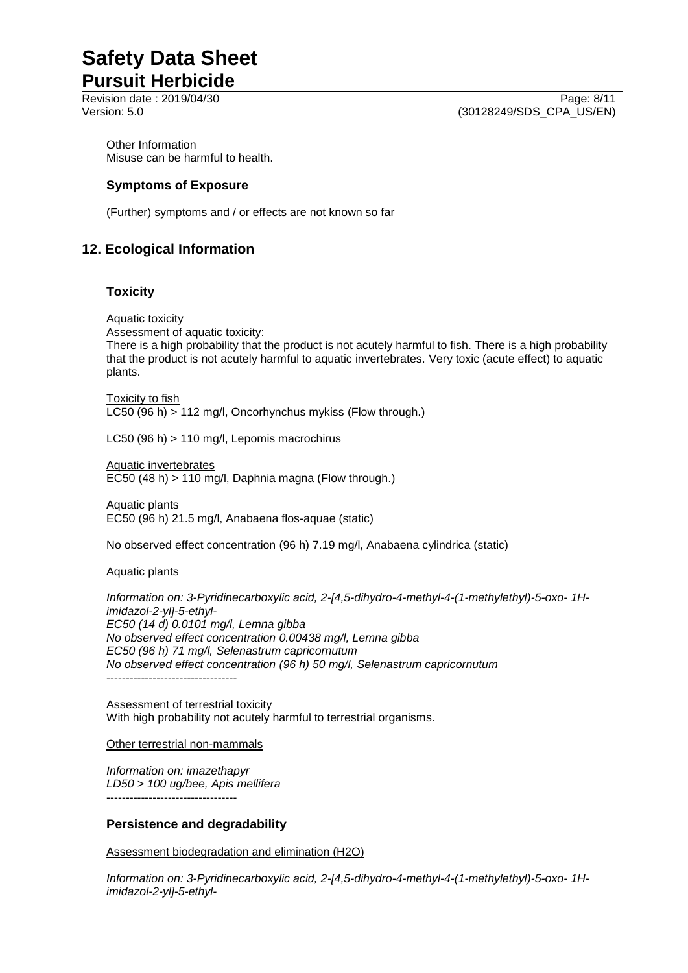**Other Information** Misuse can be harmful to health.

### **Symptoms of Exposure**

(Further) symptoms and / or effects are not known so far

# **12. Ecological Information**

#### **Toxicity**

Aquatic toxicity Assessment of aquatic toxicity:

There is a high probability that the product is not acutely harmful to fish. There is a high probability that the product is not acutely harmful to aquatic invertebrates. Very toxic (acute effect) to aquatic plants.

Toxicity to fish LC50 (96 h) > 112 mg/l, Oncorhynchus mykiss (Flow through.)

LC50 (96 h) > 110 mg/l, Lepomis macrochirus

Aquatic invertebrates EC50 (48 h) > 110 mg/l, Daphnia magna (Flow through.)

Aquatic plants EC50 (96 h) 21.5 mg/l, Anabaena flos-aquae (static)

No observed effect concentration (96 h) 7.19 mg/l, Anabaena cylindrica (static)

Aquatic plants

*Information on: 3-Pyridinecarboxylic acid, 2-[4,5-dihydro-4-methyl-4-(1-methylethyl)-5-oxo- 1Himidazol-2-yl]-5-ethyl-EC50 (14 d) 0.0101 mg/l, Lemna gibba No observed effect concentration 0.00438 mg/l, Lemna gibba EC50 (96 h) 71 mg/l, Selenastrum capricornutum No observed effect concentration (96 h) 50 mg/l, Selenastrum capricornutum* ----------------------------------

Assessment of terrestrial toxicity With high probability not acutely harmful to terrestrial organisms.

Other terrestrial non-mammals

*Information on: imazethapyr LD50 > 100 ug/bee, Apis mellifera* ----------------------------------

#### **Persistence and degradability**

Assessment biodegradation and elimination (H2O)

*Information on: 3-Pyridinecarboxylic acid, 2-[4,5-dihydro-4-methyl-4-(1-methylethyl)-5-oxo- 1Himidazol-2-yl]-5-ethyl-*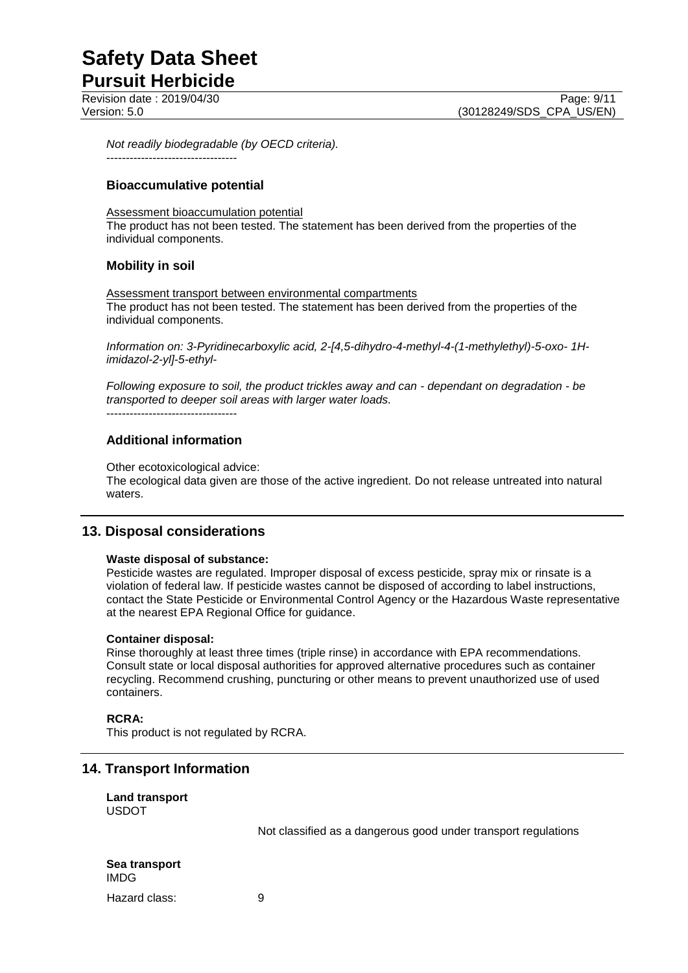Revision date : 2019/04/30 Page: 9/11<br>
Version: 5.0 (30128249/SDS CPA US/EN)

*Not readily biodegradable (by OECD criteria).* ----------------------------------

### **Bioaccumulative potential**

Assessment bioaccumulation potential

The product has not been tested. The statement has been derived from the properties of the individual components.

### **Mobility in soil**

Assessment transport between environmental compartments The product has not been tested. The statement has been derived from the properties of the individual components.

*Information on: 3-Pyridinecarboxylic acid, 2-[4,5-dihydro-4-methyl-4-(1-methylethyl)-5-oxo- 1Himidazol-2-yl]-5-ethyl-*

*Following exposure to soil, the product trickles away and can - dependant on degradation - be transported to deeper soil areas with larger water loads.*

----------------------------------

# **Additional information**

Other ecotoxicological advice:

The ecological data given are those of the active ingredient. Do not release untreated into natural waters.

## **13. Disposal considerations**

#### **Waste disposal of substance:**

Pesticide wastes are regulated. Improper disposal of excess pesticide, spray mix or rinsate is a violation of federal law. If pesticide wastes cannot be disposed of according to label instructions, contact the State Pesticide or Environmental Control Agency or the Hazardous Waste representative at the nearest EPA Regional Office for guidance.

#### **Container disposal:**

Rinse thoroughly at least three times (triple rinse) in accordance with EPA recommendations. Consult state or local disposal authorities for approved alternative procedures such as container recycling. Recommend crushing, puncturing or other means to prevent unauthorized use of used containers.

#### **RCRA:**

This product is not regulated by RCRA.

## **14. Transport Information**

#### **Land transport** USDOT

Not classified as a dangerous good under transport regulations

| Sea transport<br><b>IMDG</b> |   |
|------------------------------|---|
| Hazard class:                | 9 |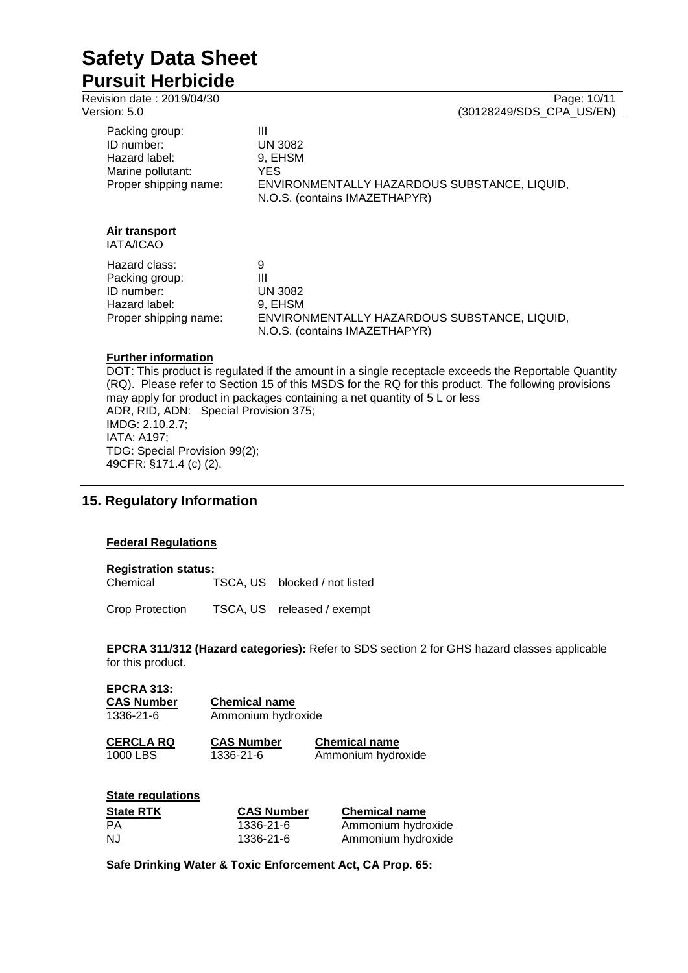**Pursuit Herbicide** Revision date : 2019/04/30

| Version: 5.0                                                                                | (30128249/SDS CPA US/EN)                                                                                                |
|---------------------------------------------------------------------------------------------|-------------------------------------------------------------------------------------------------------------------------|
| Packing group:<br>ID number:<br>Hazard label:<br>Marine pollutant:<br>Proper shipping name: | Ш<br><b>UN 3082</b><br>9, EHSM<br>YES.<br>ENVIRONMENTALLY HAZARDOUS SUBSTANCE, LIQUID,<br>N.O.S. (contains IMAZETHAPYR) |
| Air transport<br><b>IATA/ICAO</b>                                                           |                                                                                                                         |
| Hazard class:<br>Packing group:<br>ID number:<br>Hazard label:<br>Proper shipping name:     | 9<br>Ш<br><b>UN 3082</b><br>9. EHSM<br>ENVIRONMENTALLY HAZARDOUS SUBSTANCE, LIQUID,<br>N.O.S. (contains IMAZETHAPYR)    |
| <b>Further information</b>                                                                  |                                                                                                                         |

DOT: This product is regulated if the amount in a single receptacle exceeds the Reportable Quantity (RQ). Please refer to Section 15 of this MSDS for the RQ for this product. The following provisions may apply for product in packages containing a net quantity of 5 L or less ADR, RID, ADN: Special Provision 375; IMDG: 2.10.2.7; IATA: A197; TDG: Special Provision 99(2); 49CFR: §171.4 (c) (2).

# **15. Regulatory Information**

#### **Federal Regulations**

# **Registration status:**

TSCA, US blocked / not listed

Crop Protection TSCA, US released / exempt

**EPCRA 311/312 (Hazard categories):** Refer to SDS section 2 for GHS hazard classes applicable for this product.

| <b>EPCRA 313:</b><br><b>CAS Number</b><br>1336-21-6 | <b>Chemical name</b><br>Ammonium hydroxide |                                            |
|-----------------------------------------------------|--------------------------------------------|--------------------------------------------|
| <b>CERCLA RQ</b><br>1000 LBS                        | <b>CAS Number</b><br>1336-21-6             | <b>Chemical name</b><br>Ammonium hydroxide |
| <b>State regulations</b><br><b>State RTK</b>        | <b>CAS Number</b>                          | <b>Chemical name</b>                       |

| "  | VAV INHIINVI |                    |
|----|--------------|--------------------|
| РA | 1336-21-6    | Ammonium hydroxide |
| NJ | 1336-21-6    | Ammonium hydroxide |
|    |              |                    |

**Safe Drinking Water & Toxic Enforcement Act, CA Prop. 65:**